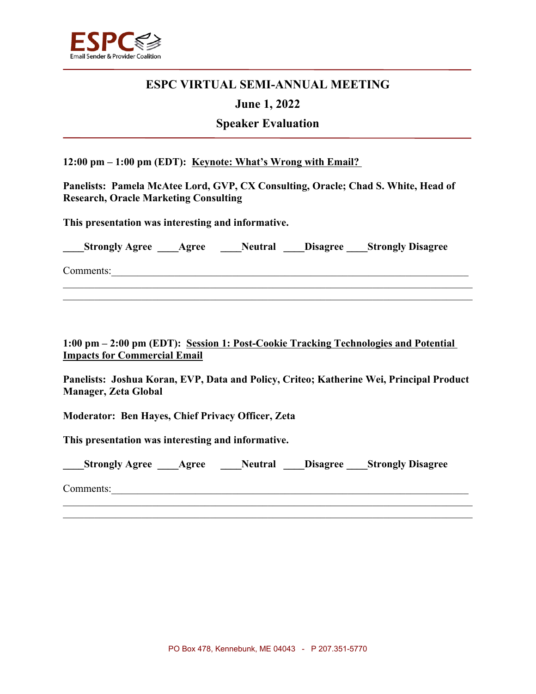

# **ESPC VIRTUAL SEMI-ANNUAL MEETING**

### **June 1, 2022**

## **Speaker Evaluation**

**12:00 pm – 1:00 pm (EDT): Keynote: What's Wrong with Email?** 

**Panelists: Pamela McAtee Lord, GVP, CX Consulting, Oracle; Chad S. White, Head of Research, Oracle Marketing Consulting**

**This presentation was interesting and informative.** 

|  | ___Strongly Agree ____Agree |  | <b>Neutral</b> |  | <b>Example 1</b> Disagree <b>Strongly Disagree</b> |  |
|--|-----------------------------|--|----------------|--|----------------------------------------------------|--|
|--|-----------------------------|--|----------------|--|----------------------------------------------------|--|

 $\mathcal{L}_\mathcal{L} = \mathcal{L}_\mathcal{L} = \mathcal{L}_\mathcal{L} = \mathcal{L}_\mathcal{L} = \mathcal{L}_\mathcal{L} = \mathcal{L}_\mathcal{L} = \mathcal{L}_\mathcal{L} = \mathcal{L}_\mathcal{L} = \mathcal{L}_\mathcal{L} = \mathcal{L}_\mathcal{L} = \mathcal{L}_\mathcal{L} = \mathcal{L}_\mathcal{L} = \mathcal{L}_\mathcal{L} = \mathcal{L}_\mathcal{L} = \mathcal{L}_\mathcal{L} = \mathcal{L}_\mathcal{L} = \mathcal{L}_\mathcal{L}$  $\mathcal{L}_\mathcal{L} = \mathcal{L}_\mathcal{L} = \mathcal{L}_\mathcal{L} = \mathcal{L}_\mathcal{L} = \mathcal{L}_\mathcal{L} = \mathcal{L}_\mathcal{L} = \mathcal{L}_\mathcal{L} = \mathcal{L}_\mathcal{L} = \mathcal{L}_\mathcal{L} = \mathcal{L}_\mathcal{L} = \mathcal{L}_\mathcal{L} = \mathcal{L}_\mathcal{L} = \mathcal{L}_\mathcal{L} = \mathcal{L}_\mathcal{L} = \mathcal{L}_\mathcal{L} = \mathcal{L}_\mathcal{L} = \mathcal{L}_\mathcal{L}$ 

 $\mathcal{L}_\mathcal{L} = \{ \mathcal{L}_\mathcal{L} = \{ \mathcal{L}_\mathcal{L} = \{ \mathcal{L}_\mathcal{L} = \{ \mathcal{L}_\mathcal{L} = \{ \mathcal{L}_\mathcal{L} = \{ \mathcal{L}_\mathcal{L} = \{ \mathcal{L}_\mathcal{L} = \{ \mathcal{L}_\mathcal{L} = \{ \mathcal{L}_\mathcal{L} = \{ \mathcal{L}_\mathcal{L} = \{ \mathcal{L}_\mathcal{L} = \{ \mathcal{L}_\mathcal{L} = \{ \mathcal{L}_\mathcal{L} = \{ \mathcal{L}_\mathcal{$ 

Comments:

**1:00 pm – 2:00 pm (EDT): Session 1: Post-Cookie Tracking Technologies and Potential Impacts for Commercial Email**

**Panelists: Joshua Koran, EVP, Data and Policy, Criteo; Katherine Wei, Principal Product Manager, Zeta Global**

**Moderator: Ben Hayes, Chief Privacy Officer, Zeta**

**This presentation was interesting and informative.** 

| ____Strongly Agree _____Agree |  | <b>Neutral Disagree Strongly Disagree</b> |  |
|-------------------------------|--|-------------------------------------------|--|
|                               |  |                                           |  |

 $\mathcal{L}_\mathcal{L} = \{ \mathcal{L}_\mathcal{L} = \{ \mathcal{L}_\mathcal{L} = \{ \mathcal{L}_\mathcal{L} = \{ \mathcal{L}_\mathcal{L} = \{ \mathcal{L}_\mathcal{L} = \{ \mathcal{L}_\mathcal{L} = \{ \mathcal{L}_\mathcal{L} = \{ \mathcal{L}_\mathcal{L} = \{ \mathcal{L}_\mathcal{L} = \{ \mathcal{L}_\mathcal{L} = \{ \mathcal{L}_\mathcal{L} = \{ \mathcal{L}_\mathcal{L} = \{ \mathcal{L}_\mathcal{L} = \{ \mathcal{L}_\mathcal{$ 

Comments: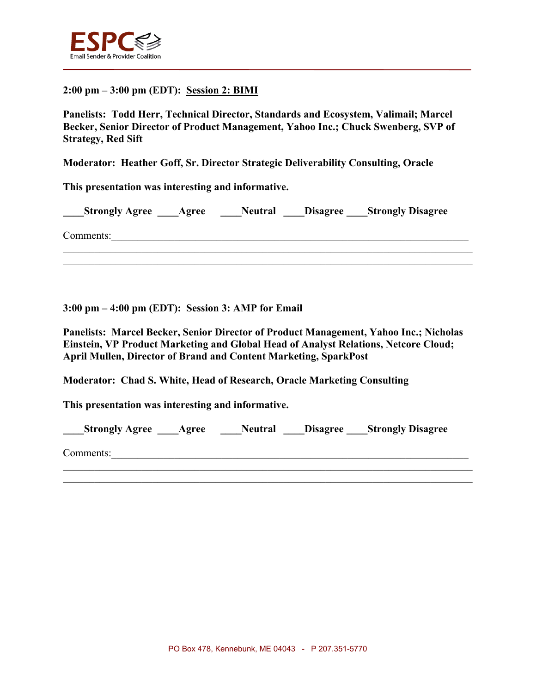

### **2:00 pm – 3:00 pm (EDT): Session 2: BIMI**

**Panelists: Todd Herr, Technical Director, Standards and Ecosystem, Valimail; Marcel Becker, Senior Director of Product Management, Yahoo Inc.; Chuck Swenberg, SVP of Strategy, Red Sift**

**Moderator: Heather Goff, Sr. Director Strategic Deliverability Consulting, Oracle**

**This presentation was interesting and informative.** 

**Strongly Agree Agree Neutral Disagree Strongly Disagree** 

 $\mathcal{L}_\mathcal{L} = \{ \mathcal{L}_\mathcal{L} = \{ \mathcal{L}_\mathcal{L} = \{ \mathcal{L}_\mathcal{L} = \{ \mathcal{L}_\mathcal{L} = \{ \mathcal{L}_\mathcal{L} = \{ \mathcal{L}_\mathcal{L} = \{ \mathcal{L}_\mathcal{L} = \{ \mathcal{L}_\mathcal{L} = \{ \mathcal{L}_\mathcal{L} = \{ \mathcal{L}_\mathcal{L} = \{ \mathcal{L}_\mathcal{L} = \{ \mathcal{L}_\mathcal{L} = \{ \mathcal{L}_\mathcal{L} = \{ \mathcal{L}_\mathcal{$  $\mathcal{L}_\mathcal{L} = \mathcal{L}_\mathcal{L} = \mathcal{L}_\mathcal{L} = \mathcal{L}_\mathcal{L} = \mathcal{L}_\mathcal{L} = \mathcal{L}_\mathcal{L} = \mathcal{L}_\mathcal{L} = \mathcal{L}_\mathcal{L} = \mathcal{L}_\mathcal{L} = \mathcal{L}_\mathcal{L} = \mathcal{L}_\mathcal{L} = \mathcal{L}_\mathcal{L} = \mathcal{L}_\mathcal{L} = \mathcal{L}_\mathcal{L} = \mathcal{L}_\mathcal{L} = \mathcal{L}_\mathcal{L} = \mathcal{L}_\mathcal{L}$ 

 $\mathcal{L}_\mathcal{L} = \mathcal{L}_\mathcal{L} = \mathcal{L}_\mathcal{L} = \mathcal{L}_\mathcal{L} = \mathcal{L}_\mathcal{L} = \mathcal{L}_\mathcal{L} = \mathcal{L}_\mathcal{L} = \mathcal{L}_\mathcal{L} = \mathcal{L}_\mathcal{L} = \mathcal{L}_\mathcal{L} = \mathcal{L}_\mathcal{L} = \mathcal{L}_\mathcal{L} = \mathcal{L}_\mathcal{L} = \mathcal{L}_\mathcal{L} = \mathcal{L}_\mathcal{L} = \mathcal{L}_\mathcal{L} = \mathcal{L}_\mathcal{L}$ 

Comments:

**3:00 pm – 4:00 pm (EDT): Session 3: AMP for Email**

**Panelists: Marcel Becker, Senior Director of Product Management, Yahoo Inc.; Nicholas Einstein, VP Product Marketing and Global Head of Analyst Relations, Netcore Cloud; April Mullen, Director of Brand and Content Marketing, SparkPost**

**Moderator: Chad S. White, Head of Research, Oracle Marketing Consulting**

**This presentation was interesting and informative.** 

| Strongly Agree _____Agree | <b>Neutral</b> |  | <b>Example 1</b> Disagree <u>Strongly</u> Disagree |  |
|---------------------------|----------------|--|----------------------------------------------------|--|
|---------------------------|----------------|--|----------------------------------------------------|--|

 $\mathcal{L}_\mathcal{L} = \{ \mathcal{L}_\mathcal{L} = \{ \mathcal{L}_\mathcal{L} = \{ \mathcal{L}_\mathcal{L} = \{ \mathcal{L}_\mathcal{L} = \{ \mathcal{L}_\mathcal{L} = \{ \mathcal{L}_\mathcal{L} = \{ \mathcal{L}_\mathcal{L} = \{ \mathcal{L}_\mathcal{L} = \{ \mathcal{L}_\mathcal{L} = \{ \mathcal{L}_\mathcal{L} = \{ \mathcal{L}_\mathcal{L} = \{ \mathcal{L}_\mathcal{L} = \{ \mathcal{L}_\mathcal{L} = \{ \mathcal{L}_\mathcal{$ 

Comments: